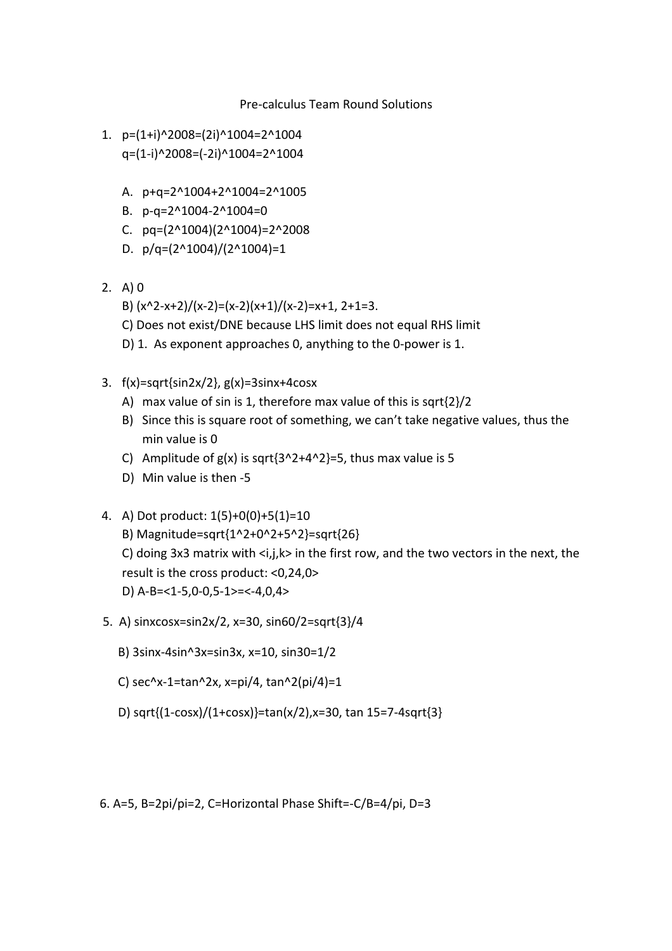Pre‐calculus
Team
Round
Solutions

- 1. p=(1+i)^2008=(2i)^1004=2^1004 q=(1‐i)^2008=(‐2i)^1004=2^1004
	- A. p+q=2^1004+2^1004=2^1005
	- B. p‐q=2^1004‐2^1004=0
	- C. pq=(2^1004)(2^1004)=2^2008
	- D.  $p/q=(2^1004)/(2^1004)=1$
- 2. A)
0
	- B)  $(x^2-x+2)/(x-2)=(x-2)(x+1)/(x-2)=x+1, 2+1=3.$
	- C) Does not exist/DNE because LHS limit does not equal RHS limit
	- D) 1. As exponent approaches 0, anything to the 0-power is 1.
- 3. f(x)=sqrt{sin2x/2},
g(x)=3sinx+4cosx
	- A) max value of sin is 1, therefore max value of this is sqrt{2}/2
	- B) Since this is square root of something, we can't take negative values, thus the min
	value
	is
	0
	- C) Amplitude of  $g(x)$  is sqrt $\{3^2+4^2\}$ =5, thus max value is 5
	- D) Min value is then -5
- 4. A)
Dot
product:
1(5)+0(0)+5(1)=10
	- B)
	Magnitude=sqrt{1^2+0^2+5^2}=sqrt{26}

C) doing  $3x3$  matrix with  $\langle i,j,k \rangle$  in the first row, and the two vectors in the next, the result
is
the
cross
product:
<0,24,0>

- D)
A‐B=<1‐5,0‐0,5‐1>=<‐4,0,4>
- 5.

A)
sinxcosx=sin2x/2,
x=30,
sin60/2=sqrt{3}/4
	- B)
	3sinx‐4sin^3x=sin3x,
	x=10,
	sin30=1/2
	- C)
	sec^x‐1=tan^2x,
	x=pi/4,
	tan^2(pi/4)=1
	- D)
	sqrt{(1‐cosx)/(1+cosx)}=tan(x/2),x=30,
	tan
	15=7‐4sqrt{3}

6.
A=5,
B=2pi/pi=2,
C=Horizontal
Phase
Shift=‐C/B=4/pi,
D=3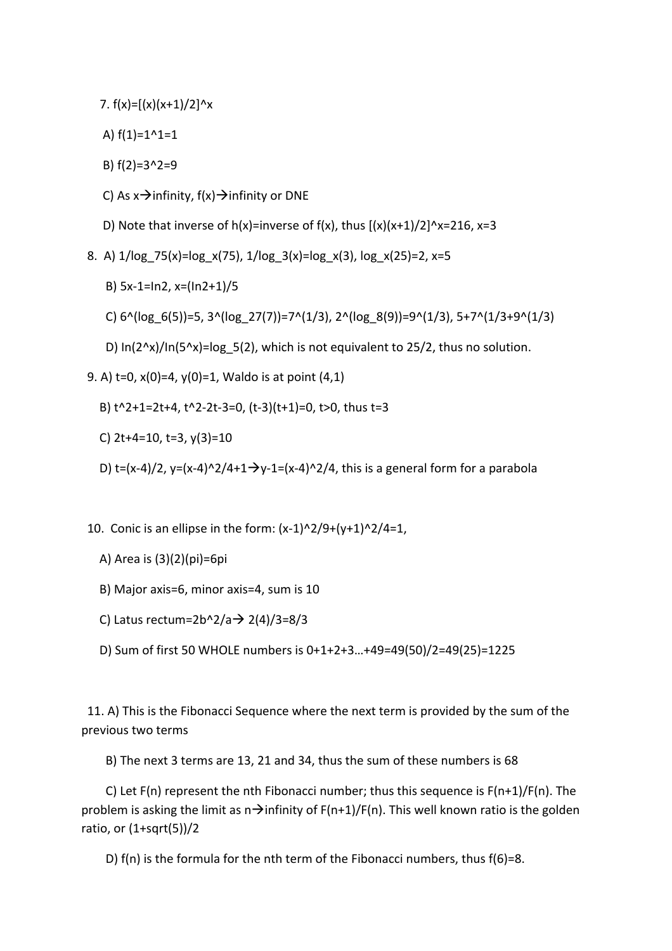7.  $f(x) = [(x)(x+1)/2]^x$ 

A)  $f(1)=1^1-1=1$ 

B)
f(2)=3^2=9

C) As  $x \rightarrow$  infinity,  $f(x) \rightarrow$  infinity or DNE

D) Note that inverse of  $h(x)$ =inverse of  $f(x)$ , thus  $[(x)(x+1)/2]$ ^x=216, x=3

- 8.

A)
1/log\_75(x)=log\_x(75),
1/log\_3(x)=log\_x(3),
log\_x(25)=2,
x=5
	- B)
	5x‐1=In2,
	x=(In2+1)/5
	- C)  $6^{\wedge}$ (log  $6(5)$ )=5,  $3^{\wedge}$ (log  $27(7)$ )=7 $^{\wedge}$ (1/3),  $2^{\wedge}$ (log  $8(9)$ )=9 $^{\wedge}$ (1/3),  $5+7^{\wedge}$ (1/3+9 $^{\wedge}$ (1/3)
	- D)  $ln(2^x)(ln(5^x)(=log 5(2))$ , which is not equivalent to 25/2, thus no solution.
- 9.
A)
t=0,
x(0)=4,
y(0)=1,
Waldo
is
at
point
(4,1)
	- B) t^2+1=2t+4, t^2-2t-3=0, (t-3)(t+1)=0, t>0, thus t=3
	- C)
	2t+4=10,
	t=3,
	y(3)=10
	- D) t=(x-4)/2, y=(x-4)^2/4+1  $\rightarrow$ y-1=(x-4)^2/4, this is a general form for a parabola
- 10. Conic is an ellipse in the form:  $(x-1)^2/9+(y+1)^2/4=1$ ,
	- A)
	Area
	is
	(3)(2)(pi)=6pi
	- B)
	Major
	axis=6,
	minor
	axis=4,
	sum
	is
	10
	- C) Latus rectum=2b^2/a  $\rightarrow$  2(4)/3=8/3
	- D)
	Sum
	of
	first
	50
	WHOLE
	numbers
	is
	0+1+2+3…+49=49(50)/2=49(25)=1225

11. A) This is the Fibonacci Sequence where the next term is provided by the sum of the previous
two
terms

B)
The
next
3
terms
are
13,
21
and
34,
thus
the
sum
of
these
numbers
is
68

C) Let  $F(n)$  represent the nth Fibonacci number; thus this sequence is  $F(n+1)/F(n)$ . The problem is asking the limit as  $n \rightarrow$ infinity of  $F(n+1)/F(n)$ . This well known ratio is the golden ratio,
or
(1+sqrt(5))/2

D) f(n) is the formula for the nth term of the Fibonacci numbers, thus f(6)=8.